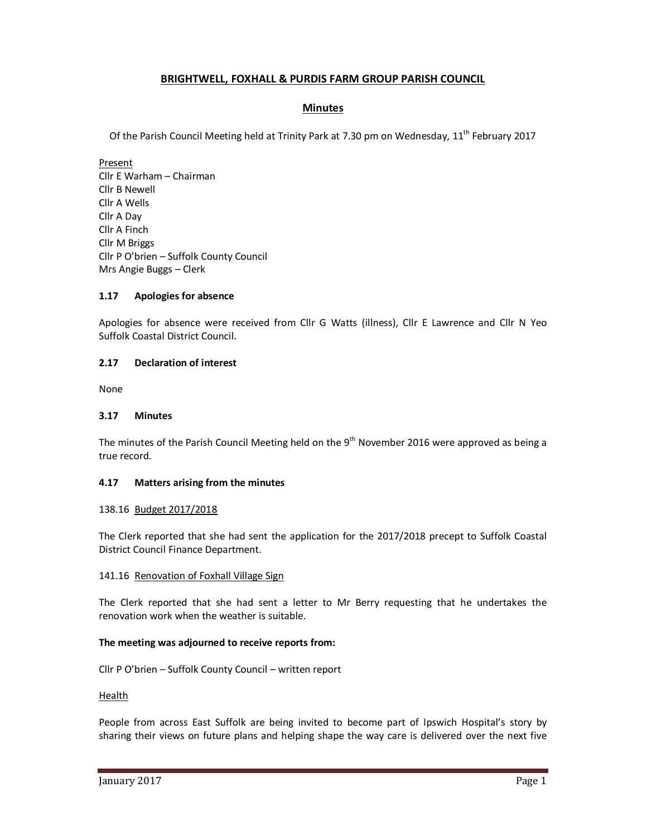# **BRIGHTWELL, FOXHALL & PURDIS FARM GROUP PARISH COUNCIL**

# **Minutes**

Of the Parish Council Meeting held at Trinity Park at 7.30 pm on Wednesday, 11<sup>th</sup> February 2017

Present Cllr E Warham – Chairman Cllr B Newell Cllr A Wells Cllr A Day Cllr A Finch Cllr M Briggs Cllr P O'brien – Suffolk County Council Mrs Angie Buggs – Clerk

# **1.17 Apologies for absence**

Apologies for absence were received from Cllr G Watts (illness), Cllr E Lawrence and Cllr N Yeo Suffolk Coastal District Council.

# **2.17 Declaration of interest**

None

### **3.17 Minutes**

The minutes of the Parish Council Meeting held on the  $9<sup>th</sup>$  November 2016 were approved as being a true record.

### **4.17 Matters arising from the minutes**

### 138.16 Budget 2017/2018

The Clerk reported that she had sent the application for the 2017/2018 precept to Suffolk Coastal District Council Finance Department.

### 141.16 Renovation of Foxhall Village Sign

The Clerk reported that she had sent a letter to Mr Berry requesting that he undertakes the renovation work when the weather is suitable.

### **The meeting was adjourned to receive reports from:**

Cllr P O'brien – Suffolk County Council – written report

# Health

People from across East Suffolk are being invited to become part of Ipswich Hospital's story by sharing their views on future plans and helping shape the way care is delivered over the next five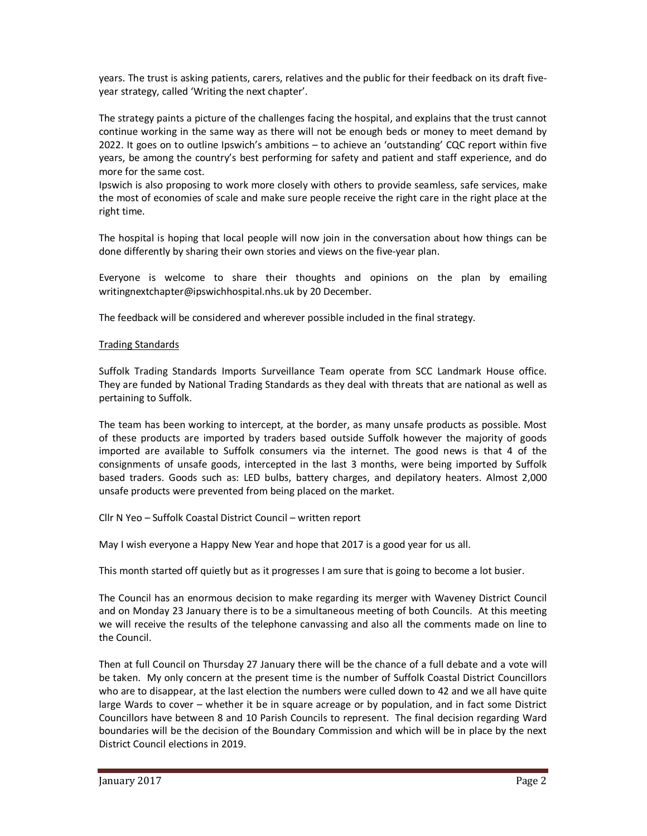years. The trust is asking patients, carers, relatives and the public for their feedback on its draft fiveyear strategy, called 'Writing the next chapter'.

The strategy paints a picture of the challenges facing the hospital, and explains that the trust cannot continue working in the same way as there will not be enough beds or money to meet demand by 2022. It goes on to outline Ipswich's ambitions – to achieve an 'outstanding' CQC report within five years, be among the country's best performing for safety and patient and staff experience, and do more for the same cost.

Ipswich is also proposing to work more closely with others to provide seamless, safe services, make the most of economies of scale and make sure people receive the right care in the right place at the right time.

The hospital is hoping that local people will now join in the conversation about how things can be done differently by sharing their own stories and views on the five-year plan.

Everyone is welcome to share their thoughts and opinions on the plan by emailing writingnextchapter@ipswichhospital.nhs.uk by 20 December.

The feedback will be considered and wherever possible included in the final strategy.

### Trading Standards

Suffolk Trading Standards Imports Surveillance Team operate from SCC Landmark House office. They are funded by National Trading Standards as they deal with threats that are national as well as pertaining to Suffolk.

The team has been working to intercept, at the border, as many unsafe products as possible. Most of these products are imported by traders based outside Suffolk however the majority of goods imported are available to Suffolk consumers via the internet. The good news is that 4 of the consignments of unsafe goods, intercepted in the last 3 months, were being imported by Suffolk based traders. Goods such as: LED bulbs, battery charges, and depilatory heaters. Almost 2,000 unsafe products were prevented from being placed on the market.

Cllr N Yeo – Suffolk Coastal District Council – written report

May I wish everyone a Happy New Year and hope that 2017 is a good year for us all.

This month started off quietly but as it progresses I am sure that is going to become a lot busier.

The Council has an enormous decision to make regarding its merger with Waveney District Council and on Monday 23 January there is to be a simultaneous meeting of both Councils. At this meeting we will receive the results of the telephone canvassing and also all the comments made on line to the Council.

Then at full Council on Thursday 27 January there will be the chance of a full debate and a vote will be taken. My only concern at the present time is the number of Suffolk Coastal District Councillors who are to disappear, at the last election the numbers were culled down to 42 and we all have quite large Wards to cover – whether it be in square acreage or by population, and in fact some District Councillors have between 8 and 10 Parish Councils to represent. The final decision regarding Ward boundaries will be the decision of the Boundary Commission and which will be in place by the next District Council elections in 2019.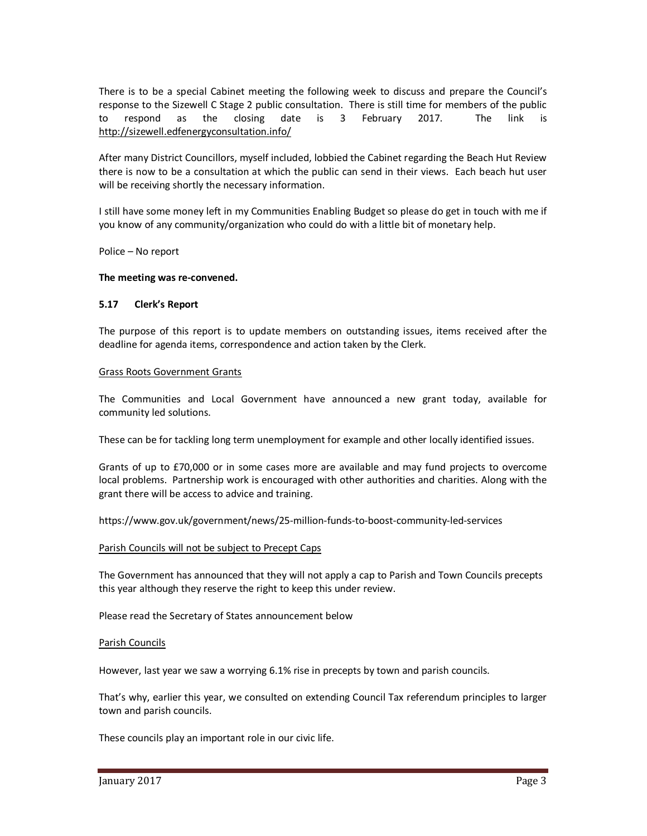There is to be a special Cabinet meeting the following week to discuss and prepare the Council's response to the Sizewell C Stage 2 public consultation. There is still time for members of the public to respond as the closing date is 3 February 2017. The link is http://sizewell.edfenergyconsultation.info/

After many District Councillors, myself included, lobbied the Cabinet regarding the Beach Hut Review there is now to be a consultation at which the public can send in their views. Each beach hut user will be receiving shortly the necessary information.

I still have some money left in my Communities Enabling Budget so please do get in touch with me if you know of any community/organization who could do with a little bit of monetary help.

Police – No report

#### **The meeting was re-convened.**

#### **5.17 Clerk's Report**

The purpose of this report is to update members on outstanding issues, items received after the deadline for agenda items, correspondence and action taken by the Clerk.

#### Grass Roots Government Grants

The Communities and Local Government have announced a new grant today, available for community led solutions.

These can be for tackling long term unemployment for example and other locally identified issues.

Grants of up to £70,000 or in some cases more are available and may fund projects to overcome local problems. Partnership work is encouraged with other authorities and charities. Along with the grant there will be access to advice and training.

https://www.gov.uk/government/news/25-million-funds-to-boost-community-led-services

#### Parish Councils will not be subject to Precept Caps

The Government has announced that they will not apply a cap to Parish and Town Councils precepts this year although they reserve the right to keep this under review.

Please read the Secretary of States announcement below

#### Parish Councils

However, last year we saw a worrying 6.1% rise in precepts by town and parish councils.

That's why, earlier this year, we consulted on extending Council Tax referendum principles to larger town and parish councils.

These councils play an important role in our civic life.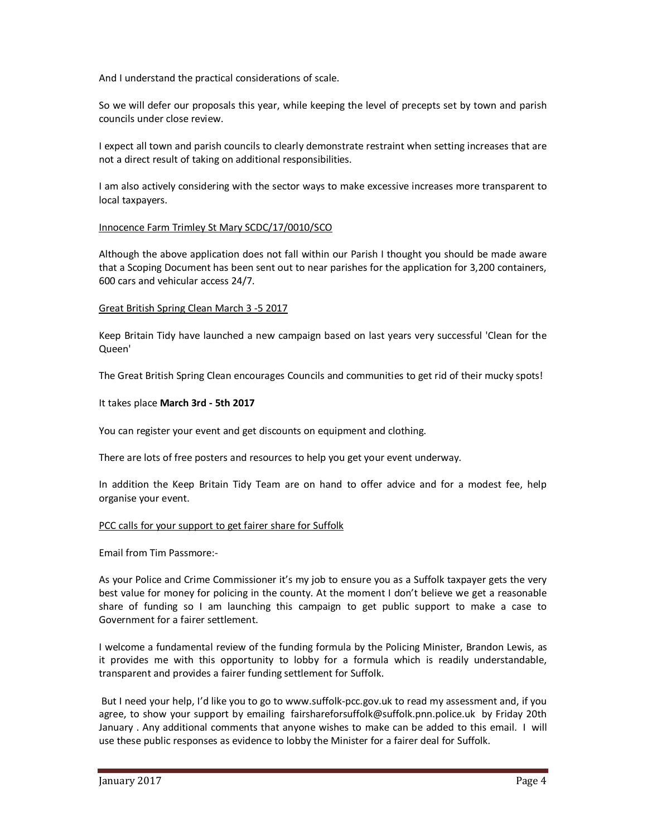And I understand the practical considerations of scale.

So we will defer our proposals this year, while keeping the level of precepts set by town and parish councils under close review.

I expect all town and parish councils to clearly demonstrate restraint when setting increases that are not a direct result of taking on additional responsibilities.

I am also actively considering with the sector ways to make excessive increases more transparent to local taxpayers.

# Innocence Farm Trimley St Mary SCDC/17/0010/SCO

Although the above application does not fall within our Parish I thought you should be made aware that a Scoping Document has been sent out to near parishes for the application for 3,200 containers, 600 cars and vehicular access 24/7.

### Great British Spring Clean March 3 -5 2017

Keep Britain Tidy have launched a new campaign based on last years very successful 'Clean for the Queen'

The Great British Spring Clean encourages Councils and communities to get rid of their mucky spots!

# It takes place **March 3rd - 5th 2017**

You can register your event and get discounts on equipment and clothing.

There are lots of free posters and resources to help you get your event underway.

In addition the Keep Britain Tidy Team are on hand to offer advice and for a modest fee, help organise your event.

### PCC calls for your support to get fairer share for Suffolk

Email from Tim Passmore:-

As your Police and Crime Commissioner it's my job to ensure you as a Suffolk taxpayer gets the very best value for money for policing in the county. At the moment I don't believe we get a reasonable share of funding so I am launching this campaign to get public support to make a case to Government for a fairer settlement.

I welcome a fundamental review of the funding formula by the Policing Minister, Brandon Lewis, as it provides me with this opportunity to lobby for a formula which is readily understandable, transparent and provides a fairer funding settlement for Suffolk.

 But I need your help, I'd like you to go to www.suffolk-pcc.gov.uk to read my assessment and, if you agree, to show your support by emailing fairshareforsuffolk@suffolk.pnn.police.uk by Friday 20th January . Any additional comments that anyone wishes to make can be added to this email. I will use these public responses as evidence to lobby the Minister for a fairer deal for Suffolk.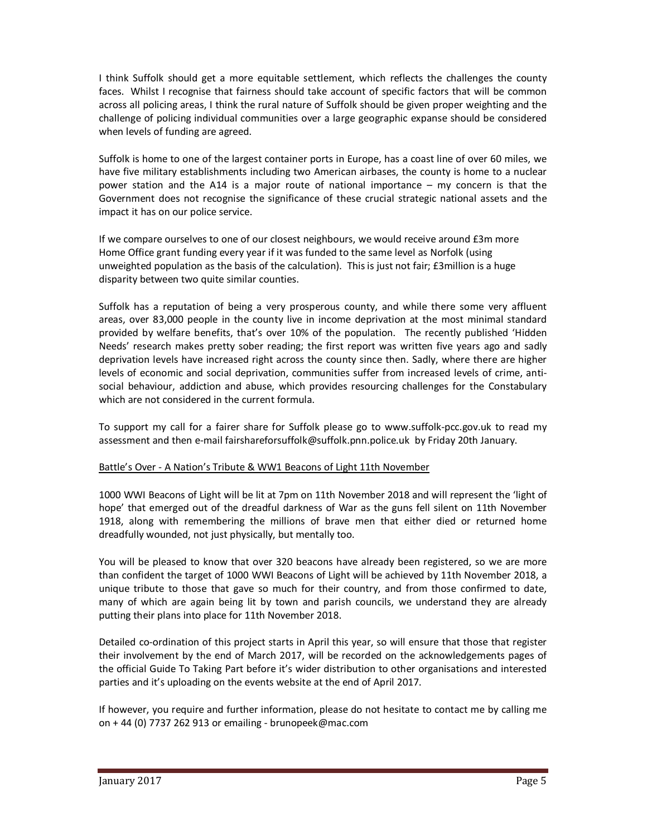I think Suffolk should get a more equitable settlement, which reflects the challenges the county faces. Whilst I recognise that fairness should take account of specific factors that will be common across all policing areas, I think the rural nature of Suffolk should be given proper weighting and the challenge of policing individual communities over a large geographic expanse should be considered when levels of funding are agreed.

Suffolk is home to one of the largest container ports in Europe, has a coast line of over 60 miles, we have five military establishments including two American airbases, the county is home to a nuclear power station and the A14 is a major route of national importance – my concern is that the Government does not recognise the significance of these crucial strategic national assets and the impact it has on our police service.

If we compare ourselves to one of our closest neighbours, we would receive around £3m more Home Office grant funding every year if it was funded to the same level as Norfolk (using unweighted population as the basis of the calculation). This is just not fair; £3million is a huge disparity between two quite similar counties.

Suffolk has a reputation of being a very prosperous county, and while there some very affluent areas, over 83,000 people in the county live in income deprivation at the most minimal standard provided by welfare benefits, that's over 10% of the population. The recently published 'Hidden Needs' research makes pretty sober reading; the first report was written five years ago and sadly deprivation levels have increased right across the county since then. Sadly, where there are higher levels of economic and social deprivation, communities suffer from increased levels of crime, antisocial behaviour, addiction and abuse, which provides resourcing challenges for the Constabulary which are not considered in the current formula.

To support my call for a fairer share for Suffolk please go to www.suffolk-pcc.gov.uk to read my assessment and then e-mail fairshareforsuffolk@suffolk.pnn.police.uk by Friday 20th January.

# Battle's Over - A Nation's Tribute & WW1 Beacons of Light 11th November

1000 WWI Beacons of Light will be lit at 7pm on 11th November 2018 and will represent the 'light of hope' that emerged out of the dreadful darkness of War as the guns fell silent on 11th November 1918, along with remembering the millions of brave men that either died or returned home dreadfully wounded, not just physically, but mentally too.

You will be pleased to know that over 320 beacons have already been registered, so we are more than confident the target of 1000 WWI Beacons of Light will be achieved by 11th November 2018, a unique tribute to those that gave so much for their country, and from those confirmed to date, many of which are again being lit by town and parish councils, we understand they are already putting their plans into place for 11th November 2018.

Detailed co-ordination of this project starts in April this year, so will ensure that those that register their involvement by the end of March 2017, will be recorded on the acknowledgements pages of the official Guide To Taking Part before it's wider distribution to other organisations and interested parties and it's uploading on the events website at the end of April 2017.

If however, you require and further information, please do not hesitate to contact me by calling me on + 44 (0) 7737 262 913 or emailing - brunopeek@mac.com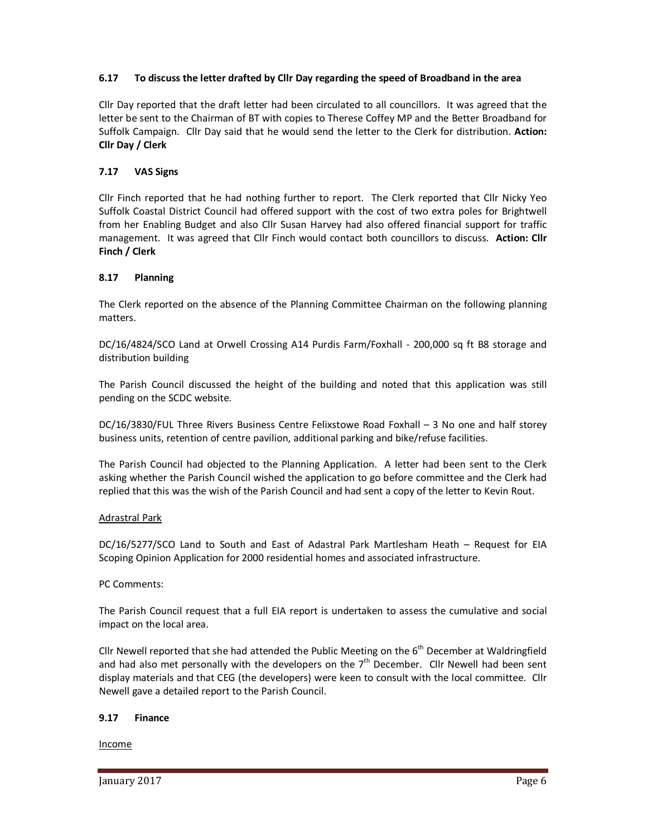# **6.17 To discuss the letter drafted by Cllr Day regarding the speed of Broadband in the area**

Cllr Day reported that the draft letter had been circulated to all councillors. It was agreed that the letter be sent to the Chairman of BT with copies to Therese Coffey MP and the Better Broadband for Suffolk Campaign. Cllr Day said that he would send the letter to the Clerk for distribution. **Action: Cllr Day / Clerk** 

# **7.17 VAS Signs**

Cllr Finch reported that he had nothing further to report. The Clerk reported that Cllr Nicky Yeo Suffolk Coastal District Council had offered support with the cost of two extra poles for Brightwell from her Enabling Budget and also Cllr Susan Harvey had also offered financial support for traffic management. It was agreed that Cllr Finch would contact both councillors to discuss. **Action: Cllr Finch / Clerk** 

# **8.17 Planning**

The Clerk reported on the absence of the Planning Committee Chairman on the following planning matters.

DC/16/4824/SCO Land at Orwell Crossing A14 Purdis Farm/Foxhall - 200,000 sq ft B8 storage and distribution building

The Parish Council discussed the height of the building and noted that this application was still pending on the SCDC website.

DC/16/3830/FUL Three Rivers Business Centre Felixstowe Road Foxhall – 3 No one and half storey business units, retention of centre pavilion, additional parking and bike/refuse facilities.

The Parish Council had objected to the Planning Application. A letter had been sent to the Clerk asking whether the Parish Council wished the application to go before committee and the Clerk had replied that this was the wish of the Parish Council and had sent a copy of the letter to Kevin Rout.

### Adrastral Park

DC/16/5277/SCO Land to South and East of Adastral Park Martlesham Heath – Request for EIA Scoping Opinion Application for 2000 residential homes and associated infrastructure.

### PC Comments:

The Parish Council request that a full EIA report is undertaken to assess the cumulative and social impact on the local area.

Cllr Newell reported that she had attended the Public Meeting on the  $6<sup>th</sup>$  December at Waldringfield and had also met personally with the developers on the  $7<sup>th</sup>$  December. Cllr Newell had been sent display materials and that CEG (the developers) were keen to consult with the local committee. Cllr Newell gave a detailed report to the Parish Council.

### **9.17 Finance**

Income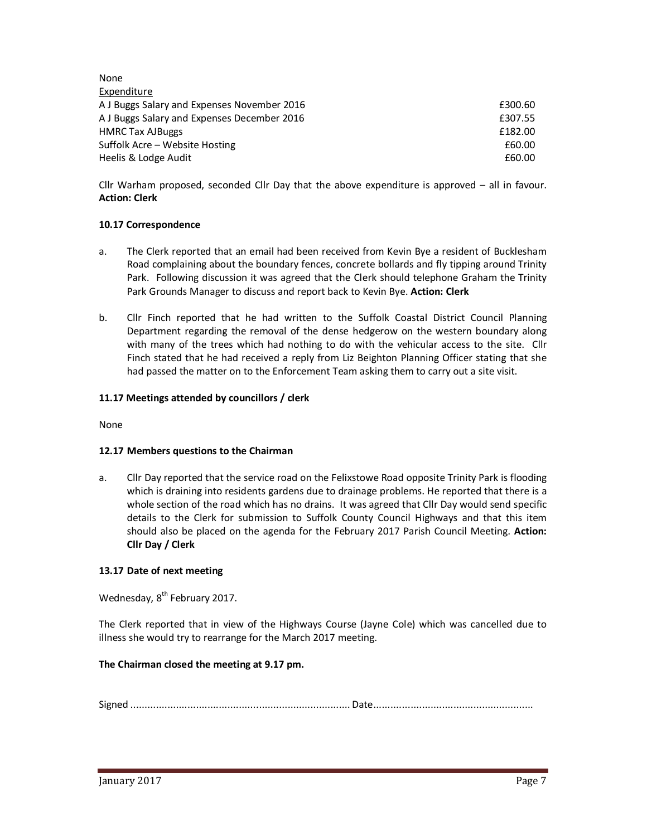| None                                        |         |
|---------------------------------------------|---------|
| Expenditure                                 |         |
| A J Buggs Salary and Expenses November 2016 | £300.60 |
| A J Buggs Salary and Expenses December 2016 | £307.55 |
| <b>HMRC Tax AJBuggs</b>                     | £182.00 |
| Suffolk Acre – Website Hosting              | £60.00  |
| Heelis & Lodge Audit                        | £60.00  |

Cllr Warham proposed, seconded Cllr Day that the above expenditure is approved – all in favour. **Action: Clerk** 

# **10.17 Correspondence**

- a. The Clerk reported that an email had been received from Kevin Bye a resident of Bucklesham Road complaining about the boundary fences, concrete bollards and fly tipping around Trinity Park. Following discussion it was agreed that the Clerk should telephone Graham the Trinity Park Grounds Manager to discuss and report back to Kevin Bye. **Action: Clerk**
- b. Cllr Finch reported that he had written to the Suffolk Coastal District Council Planning Department regarding the removal of the dense hedgerow on the western boundary along with many of the trees which had nothing to do with the vehicular access to the site. Cllr Finch stated that he had received a reply from Liz Beighton Planning Officer stating that she had passed the matter on to the Enforcement Team asking them to carry out a site visit.

# **11.17 Meetings attended by councillors / clerk**

None

### **12.17 Members questions to the Chairman**

a. Cllr Day reported that the service road on the Felixstowe Road opposite Trinity Park is flooding which is draining into residents gardens due to drainage problems. He reported that there is a whole section of the road which has no drains. It was agreed that Cllr Day would send specific details to the Clerk for submission to Suffolk County Council Highways and that this item should also be placed on the agenda for the February 2017 Parish Council Meeting. **Action: Cllr Day / Clerk** 

### **13.17 Date of next meeting**

Wednesday, 8<sup>th</sup> February 2017.

The Clerk reported that in view of the Highways Course (Jayne Cole) which was cancelled due to illness she would try to rearrange for the March 2017 meeting.

### **The Chairman closed the meeting at 9.17 pm.**

Signed ............................................................................. Date ........................................................